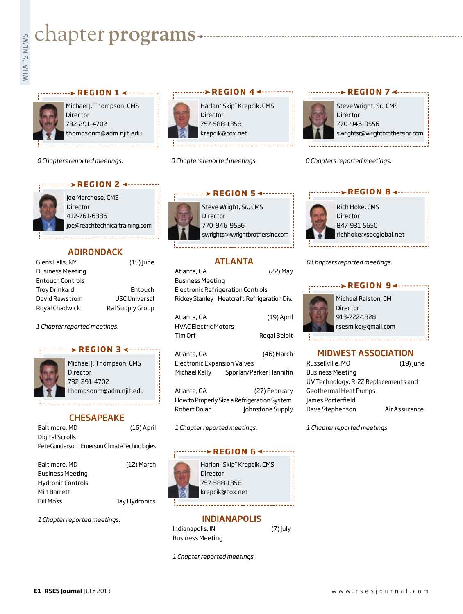# **whater programs**<br>Example:<br>Figures



Michael J. Thompson, CMS Director 732-291-4702 thompsonm@adm.njit.edu

**REGION 14 - - - - - - - - -**

*0 Chapters reported meetings.*

#### **REGION 2 4 ·········**



Joe Marchese, CMS Director 412-761-6386 joe@reachtechnicaltraining.com

 $(15)$  June

Entouch USC Universal Ral Supply Group

# **ADIRONDACK**

| Glens Falls, NY  |  |
|------------------|--|
| Business Meeting |  |
| Entouch Controls |  |
| Troy Drinkard    |  |
| David Rawstrom   |  |
| Roval Chadwick   |  |

*1 Chapter reported meetings.*

# *region 3*



Michael J. Thompson, CMS Director 732-291-4702 thompsonm@adm.njit.edu

# **CHESAPEAKE**

| Baltimore, MD   | $(16)$ April                                |
|-----------------|---------------------------------------------|
| Digital Scrolls |                                             |
|                 | Pete Gunderson Emerson Climate Technologies |
| Baltimore, MD   | (12) March                                  |

| Baltimore, MD            | (12) March    |
|--------------------------|---------------|
| <b>Business Meeting</b>  |               |
| <b>Hydronic Controls</b> |               |
| Milt Barrett             |               |
| <b>Bill Moss</b>         | Bay Hydronics |
|                          |               |

*1 Chapter reported meetings.*



*0 Chapters reported meetings.*



*0 Chapters reported meetings.*



Steve Wright, Sr., CMS 770-946-9556 swrightsr@wrightbrothersinc.com

# ATLANTA

Atlanta, GA (22) May Business Meeting Electronic Refrigeration Controls Rickey Stanley Heatcraft Refrigeration Div.

| Atlanta, GA          | (19) April   |
|----------------------|--------------|
| HVAC Electric Motors |              |
| Tim Orf              | Regal Beloit |
|                      |              |

Atlanta, GA (46) March Electronic Expansion Valves Michael Kelly Sporlan/Parker Hannifin

Atlanta, GA (27) February How to Properly Size a Refrigeration System Robert Dolan Johnstone Supply

*1 Chapter reported meetings.*

#### **REGION 64 ·······**

Harlan "Skip" Krepcik, CMS Director 757-588-1358 krepcik@cox.net

#### INDIANAPOLIS

 $(7)$  July

| Indianapolis, IN |  |
|------------------|--|
| Business Meeting |  |

*1 Chapter reported meetings.*

# **REGION 84 ------**



Rich Hoke, CMS **Director** 847-931-5650 richhoke@sbcglobal.net

*0 Chapters reported meetings.*

# Michael Ralston, CM Director 913-722-1328 rsesmike@gmail.com **REGION 94 ------**

# MIDWEST ASSOCIATION

| Russellville, MO                     | $(19)$ June   |
|--------------------------------------|---------------|
| <b>Business Meeting</b>              |               |
| UV Technology, R-22 Replacements and |               |
| <b>Geothermal Heat Pumps</b>         |               |
| James Porterfield                    |               |
| Dave Stephenson                      | Air Assurance |

*1 Chapter reported meetings*